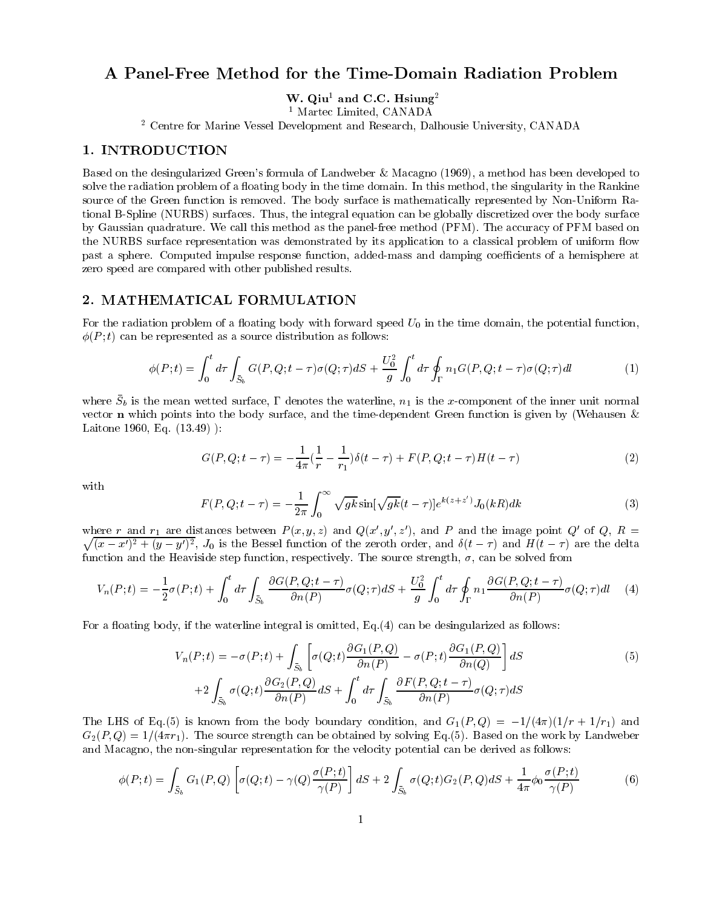# A Panel-Free Method for the Time-Domain Radiation Problem

w. Our and  $C.C.$  Hsiung

<sup>1</sup> Martec Limited, CANADA

<sup>2</sup> Centre for Marine Vessel Development and Research, Dalhousie University, CANADA

# 1. INTRODUCTION

Based on the desingularized Green's formula of Landweber & Macagno (1969), a method has been developed to solve the radiation problem of a floating body in the time domain. In this method, the singularity in the Rankine source of the Green function is removed. The body surface is mathematically represented by Non-Uniform Rational B-Spline (NURBS) surfaces. Thus, the integral equation can be globally discretized over the body surface by Gaussian quadrature. We call this method as the panel-free method (PFM). The accuracy of PFM based on the NURBS surface representation was demonstrated by its application to a classical problem of uniform flow past a sphere. Computed impulse response function, added-mass and damping coefficients of a hemisphere at zero speed are compared with other published results.

# 2. MATHEMATICAL FORMULATION

For the radiation problem of a floating body with forward speed  $U_0$  in the time domain, the potential function,  $\phi(P; t)$  can be represented as a source distribution as follows:

$$
\phi(P;t) = \int_0^t d\tau \int_{\bar{S}_b} G(P,Q;t-\tau)\sigma(Q;\tau) dS + \frac{U_0^2}{g} \int_0^t d\tau \oint_{\Gamma} n_1 G(P,Q;t-\tau)\sigma(Q;\tau) dl \tag{1}
$$

where  $\omega_b$  is the mean wetted surface, I denotes the waterline,  $n_1$  is the x-component of the inner unit normal vector **n** which points into the body surface, and the time-dependent Green function is given by (Wehausen  $\&$ Laitone 1960, Eq. (13.49) ):

$$
G(P, Q; t - \tau) = -\frac{1}{4\pi} \left(\frac{1}{r} - \frac{1}{r_1}\right) \delta(t - \tau) + F(P, Q; t - \tau)H(t - \tau)
$$
\n(2)

with

$$
F(P, Q; t - \tau) = -\frac{1}{2\pi} \int_0^{\infty} \sqrt{gk} \sin[\sqrt{gk}(t - \tau)] e^{k(z + z')} J_0(kR) dk
$$
 (3)

where r and r<sub>1</sub> are distances between  $P(x, y, z)$  and  $Q(x, y, z)$ , and P and the image point Q of Q, R =  $\sqrt{(x-x')^2+(y-y')^2}$ ,  $J_0$  is the Bessel function of the zeroth order, and  $\delta(t-\tau)$  and  $H(t-\tau)$  are the delta function and the Heaviside step function, respectively. The source strength,  $\sigma$ , can be solved from

$$
V_n(P;t) = -\frac{1}{2}\sigma(P;t) + \int_0^t d\tau \int_{\bar{S}_b} \frac{\partial G(P,Q;t-\tau)}{\partial n(P)} \sigma(Q;\tau) dS + \frac{U_0^2}{g} \int_0^t d\tau \oint_{\Gamma} n_1 \frac{\partial G(P,Q;t-\tau)}{\partial n(P)} \sigma(Q;\tau) dl \tag{4}
$$

For a floating body, if the waterline integral is omitted,  $Eq.(4)$  can be desingularized as follows:

$$
V_n(P;t) = -\sigma(P;t) + \int_{\bar{S}_b} \left[ \sigma(Q;t) \frac{\partial G_1(P,Q)}{\partial n(P)} - \sigma(P;t) \frac{\partial G_1(P,Q)}{\partial n(Q)} \right] dS
$$
  
+2\int\_{\bar{S}\_b} \sigma(Q;t) \frac{\partial G\_2(P,Q)}{\partial n(P)} dS + \int\_0^t d\tau \int\_{\bar{S}\_b} \frac{\partial F(P,Q;t-\tau)}{\partial n(P)} \sigma(Q;\tau) dS (5)

The LHS of Eq.(5) is known from the body boundary condition, and  $G_1(P,Q) = -1/(4\pi)(1/r + 1/r_1)$  and  $G_2(P,Q)=1/(4\pi r_1)$ . The source strength can be obtained by solving Eq.(5). Based on the work by Landweber and Macagno, the non-singular representation for the velocity potential can be derived as follows:

$$
\phi(P;t) = \int_{\bar{S}_b} G_1(P,Q) \left[ \sigma(Q;t) - \gamma(Q) \frac{\sigma(P;t)}{\gamma(P)} \right] dS + 2 \int_{\bar{S}_b} \sigma(Q;t) G_2(P,Q) dS + \frac{1}{4\pi} \phi_0 \frac{\sigma(P;t)}{\gamma(P)} \tag{6}
$$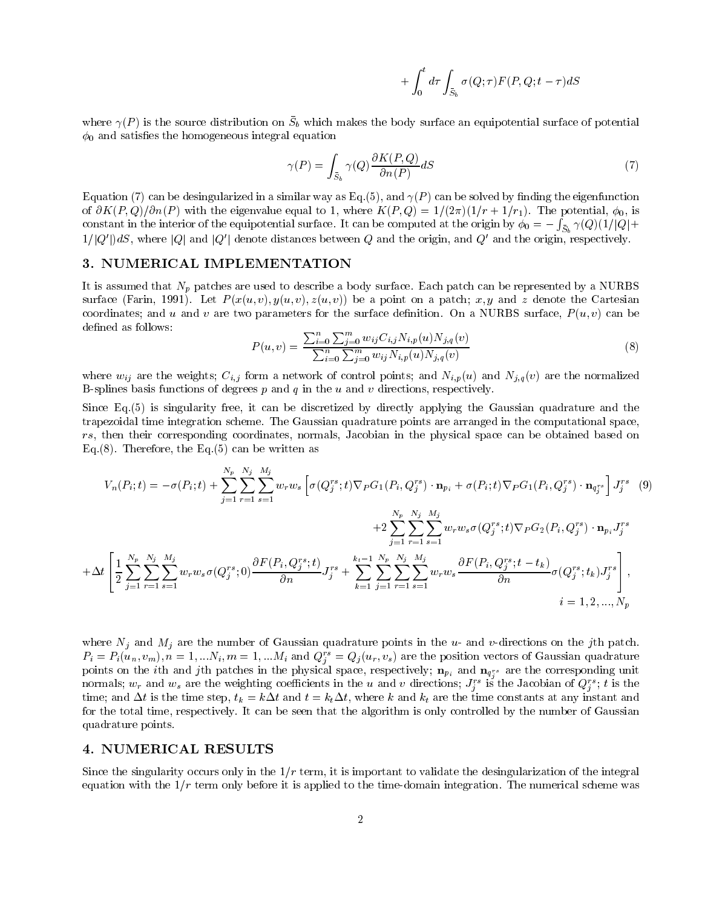$$
+ \int_0^t d\tau \int_{S_b} \sigma(Q;\tau) F(P,Q;t-\tau) dS \\
$$

where  $\gamma$ (1) is the source distribution on  $\omega_b$  which makes the body surface an equipotential surface or potential  $\phi_0$  and satisfies the homogeneous integral equation

$$
\gamma(P) = \int_{S_b} \gamma(Q) \frac{\partial K(P, Q)}{\partial n(P)} dS \tag{7}
$$

Equation (7) can be desingularized in a similar way as Eq.(5), and  $\gamma(P)$  can be solved by finding the eigenfunction of  $\partial K(P,Q)/\partial n(P)$  with the eigenvalue equal to 1, where  $K(P,Q)=1/(2\pi)(1/r + 1/r_1)$ . The potential,  $\phi_0$ , is constant in the interior of the equipotential surface. It can be computed at the origin by  $\phi_0=-\int_{\bar{S}_b}\gamma(Q)(1/|Q|+$  $1/|Q'|dS$ , where  $|Q|$  and  $|Q'|$  denote distances between Q and the origin, and  $Q'$  and the origin, respectively.

### 3. NUMERICAL IMPLEMENTATION

It is assumed that  $N_p$  patches are used to describe a body surface. Each patch can be represented by a NURBS surface (Farin, 1991). Let  $P(x(u, v), y(u, v), z(u, v))$  be a point on a patch; x, y and z denote the Cartesian coordinates; and u and v are two parameters for the surface definition. On a NURBS surface,  $P(u, v)$  can be defined as follows:

$$
P(u,v) = \frac{\sum_{i=0}^{n} \sum_{j=0}^{m} w_{ij} C_{i,j} N_{i,p}(u) N_{j,q}(v)}{\sum_{i=0}^{n} \sum_{j=0}^{m} w_{ij} N_{i,p}(u) N_{j,q}(v)}
$$
(8)

where  $w_{ij}$  are the weights;  $C_{i,j}$  form a network of control points; and  $N_{i,p}(u)$  and  $N_{j,q}(v)$  are the normalized B-splines basis functions of degrees  $p$  and  $q$  in the  $u$  and  $v$  directions, respectively.

Since Eq.(5) is singularity free, it can be discretized by directly applying the Gaussian quadrature and the trapezoidal time integration scheme. The Gaussian quadrature points are arranged in the computational space, rs, then their corresponding coordinates, normals, Jacobian in the physical space can be obtained based on Eq.  $(8)$ . Therefore, the Eq.  $(5)$  can be written as

$$
V_{n}(P_{i};t) = -\sigma(P_{i};t) + \sum_{j=1}^{N_{p}} \sum_{r=1}^{N_{j}} \sum_{s=1}^{M_{j}} w_{r} w_{s} \left[ \sigma(Q_{j}^{rs};t) \nabla_{P} G_{1}(P_{i},Q_{j}^{rs}) \cdot \mathbf{n}_{p_{i}} + \sigma(P_{i};t) \nabla_{P} G_{1}(P_{i},Q_{j}^{rs}) \cdot \mathbf{n}_{q_{j}^{rs}} \right] J_{j}^{rs}
$$
(9)  
+2
$$
\sum_{j=1}^{N_{p}} \sum_{r=1}^{N_{j}} \sum_{s=1}^{M_{j}} w_{r} w_{s} \sigma(Q_{j}^{rs};t) \nabla_{P} G_{2}(P_{i},Q_{j}^{rs}) \cdot \mathbf{n}_{p_{i}} J_{j}^{rs}
$$

$$
+ \Delta t \left[ \frac{1}{2} \sum_{j=1}^{N_{p}} \sum_{r=1}^{N_{j}} \sum_{s=1}^{M_{j}} w_{r} w_{s} \sigma(Q_{j}^{rs};t) \frac{\partial F(P_{i},Q_{j}^{rs};t)}{\partial n} J_{j}^{rs} + \sum_{k=1}^{N_{p}} \sum_{j=1}^{N_{p}} \sum_{r=1}^{N_{j}} \sum_{s=1}^{M_{j}} w_{r} w_{s} \frac{\partial F(P_{i},Q_{j}^{rs};t-t_{k})}{\partial n} \sigma(Q_{j}^{rs};t_{k}) J_{j}^{rs} \right],
$$
  
 $i = 1, 2, ..., N_{p}$ 

where  $N_j$  and  $M_j$  are the number of Gaussian quadrature points in the u- and v-directions on the jth patch.  $P_i \equiv P_i(u_n,v_m), n = 1,...N_i, m = 1,...M_i$  and  $Q_i^+=Q_j(u_r,v_s)$  are the position vectors of Gaussian quadrature points on the ith and jun patches in the physical space, respectively;  $np_i$  and  $n_q$  are the corresponding unit hormals;  $w_r$  and  $w_s$  are the weighting coemcients in the u and v directions;  $J_j^*$  is the Jacobian of  $Q_j^*$ ; t is the time; and  $\Delta t$  is the time step,  $t_k = k\Delta t$  and  $t = k_t\Delta t$ , where k and  $k_t$  are the time constants at any instant and for the total time, respectively. It can be seen that the algorithm is only controlled by the number of Gaussian quadrature points.

#### 4. NUMERICAL RESULTS

Since the singularity occurs only in the  $1/r$  term, it is important to validate the desingularization of the integral equation with the  $1/r$  term only before it is applied to the time-domain integration. The numerical scheme was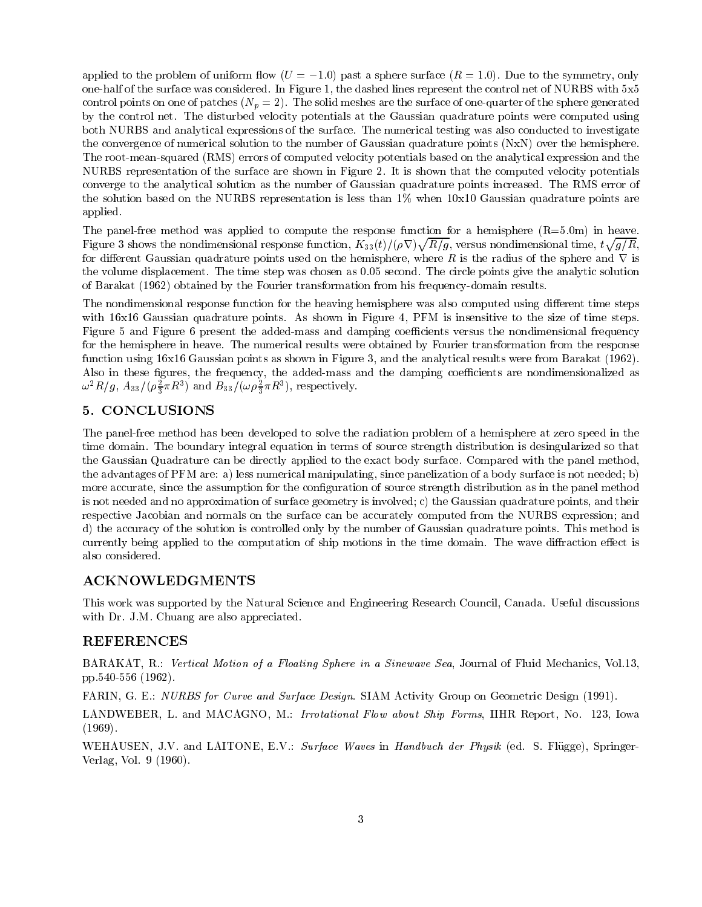applied to the problem of uniform flow  $(U = -1.0)$  past a sphere surface  $(R = 1.0)$ . Due to the symmetry, only one-half of the surface was considered. In Figure 1, the dashed lines represent the control net of NURBS with 5x5 control points on one of patches  $(N_p = 2)$ . The solid meshes are the surface of one-quarter of the sphere generated by the control net. The disturbed velocity potentials at the Gaussian quadrature points were computed using both NURBS and analytical expressions of the surface. The numerical testing was also conducted to investigate the convergence of numerical solution to the number of Gaussian quadrature points (NxN) over the hemisphere. The root-mean-squared (RMS) errors of computed velocity potentials based on the analytical expression and the NURBS representation of the surface are shown in Figure 2. It is shown that the computed velocity potentials converge to the analytical solution as the number of Gaussian quadrature points increased. The RMS error of the solution based on the NURBS representation is less than  $1\%$  when  $10x10$  Gaussian quadrature points are applied.

The panel-free method was applied to compute the response function for a hemisphere  $(R=5.0m)$  in heave. Figure 3 shows the nondimensional response function,  $K_{33}(t)/(\rho\nabla)\sqrt{R/g}$ , versus nondimensional time,  $t\sqrt{g/R}$ , for different Gaussian quadrature points used on the hemisphere, where R is the radius of the sphere and  $\nabla$  is the volume displacement. The time step was chosen as 0.05 second. The circle points give the analytic solution of Barakat (1962) obtained by the Fourier transformation from his frequency-domain results.

The nondimensional response function for the heaving hemisphere was also computed using different time steps with 16x16 Gaussian quadrature points. As shown in Figure 4, PFM is insensitive to the size of time steps. Figure 5 and Figure 6 present the added-mass and damping coefficients versus the nondimensional frequency for the hemisphere in heave. The numerical results were obtained by Fourier transformation from the response function using 16x16 Gaussian points as shown in Figure 3, and the analytical results were from Barakat (1962). Also in these figures, the frequency, the added-mass and the damping coefficients are nondimensionalized as  $\omega$ <sup>-</sup> $\kappa$ /g,  $A_{33}/(\rho_{\overline{3}}\pi\kappa^{\scriptscriptstyle{-}})$  and  $B_{33}/(\omega\rho_{\overline{3}}\pi\kappa^{\scriptscriptstyle{-}})$ , respectively.

## 5. CONCLUSIONS

The panel-free method has been developed to solve the radiation problem of a hemisphere at zero speed in the time domain. The boundary integral equation in terms of source strength distribution is desingularized so that the Gaussian Quadrature can be directly applied to the exact body surface. Compared with the panel method, the advantages of PFM are: a) less numerical manipulating, since panelization of a body surface is not needed; b) more accurate, since the assumption for the configuration of source strength distribution as in the panel method is not needed and no approximation of surface geometry is involved; c) the Gaussian quadrature points, and their respective Jacobian and normals on the surface can be accurately computed from the NURBS expression; and d) the accuracy of the solution is controlled only by the number of Gaussian quadrature points. This method is currently being applied to the computation of ship motions in the time domain. The wave diffraction effect is

#### ACKNOWLEDGMENTS

This work was supported by the Natural Science and Engineering Research Council, Canada. Useful discussions with Dr. J.M. Chuang are also appreciated.

#### REFERENCES

BARAKAT, R.: Vertical Motion of <sup>a</sup> Floating Sphere in <sup>a</sup> Sinewave Sea, Journal of Fluid Mechanics, Vol.13, pp.540-556 (1962).

FARIN, G. E.: NURBS for Curve and Surface Design. SIAM Activity Group on Geometric Design (1991).

LANDWEBER, L. and MACAGNO, M.: Irrotational Flow about Ship Forms, IIHR Report, No. 123, Iowa (1969).

WEHAUSEN, J.V. and LAITONE, E.V.: Surface Waves in Handbuch der Physik (ed. S. Flügge), Springer-Verlag, Vol. 9 (1960).